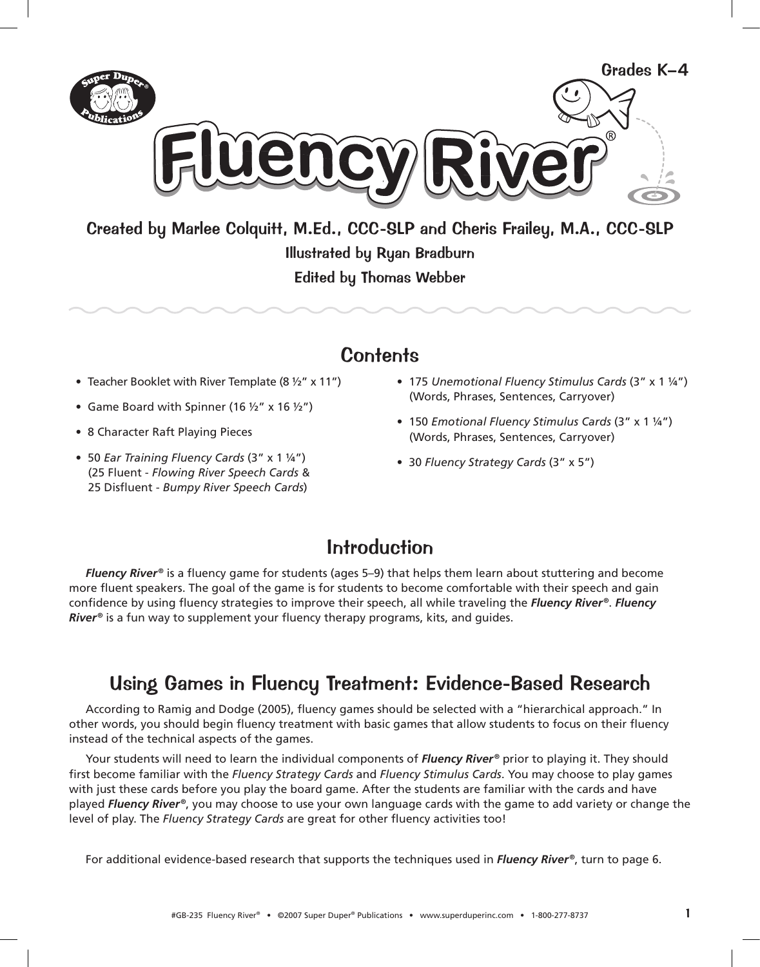

Created by Marlee Colquitt, M.Ed., CCC-SLP and Cheris Frailey, M.A., CCC-SLP

**Illustrated by Ryan Bradburn Edited by Thomas Webber** 

## Contents

- Teacher Booklet with River Template (8  $\frac{1}{2}$ " x 11")
- Game Board with Spinner (16  $\frac{1}{2}$ " x 16  $\frac{1}{2}$ ")
- 8 Character Raft Playing Pieces
- 50 Ear Training Fluency Cards (3" x 1 1/4") (25 Fluent - Flowing River Speech Cards & 25 Disfluent - Bumpy River Speech Cards)
- 175 Unemotional Fluency Stimulus Cards (3" x 1 1/4") (Words, Phrases, Sentences, Carryover)
- 150 Emotional Fluency Stimulus Cards (3" x 1 1/4") (Words, Phrases, Sentences, Carryover)
- 30 Fluency Strategy Cards (3" x 5")

### **Introduction**

**Fluency River**<sup>®</sup> is a fluency game for students (ages 5–9) that helps them learn about stuttering and become more fluent speakers. The goal of the game is for students to become comfortable with their speech and gain confidence by using fluency strategies to improve their speech, all while traveling the Fluency River®. Fluency  $River$ <sup>®</sup> is a fun way to supplement your fluency therapy programs, kits, and guides.

### Using Games in Fluency Treatment: Evidence-Based Research

According to Ramig and Dodge (2005), fluency games should be selected with a "hierarchical approach." In other words, you should begin fluency treatment with basic games that allow students to focus on their fluency instead of the technical aspects of the games.

Your students will need to learn the individual components of Fluency River® prior to playing it. They should first become familiar with the Fluency Strategy Cards and Fluency Stimulus Cards. You may choose to play games with just these cards before you play the board game. After the students are familiar with the cards and have played Fluency River<sup>®</sup>, you may choose to use your own language cards with the game to add variety or change the level of play. The *Fluency Strategy Cards* are great for other fluency activities too!

For additional evidence-based research that supports the techniques used in *Fluency River*®, turn to page 6.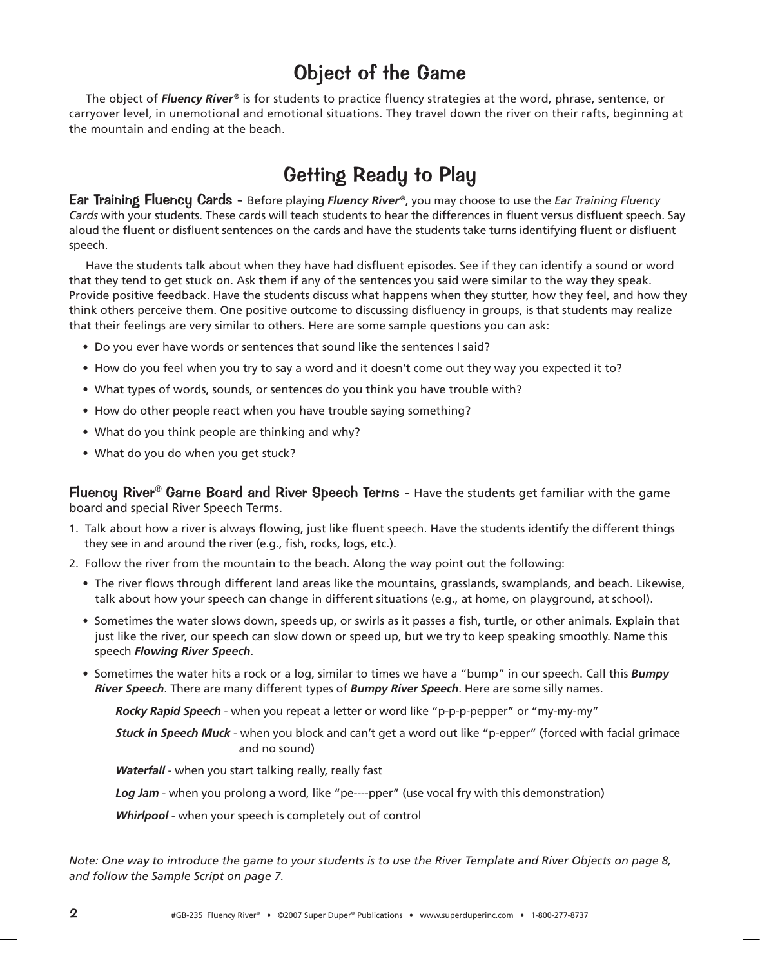## Object of the Game

The object of *Fluency River*® is for students to practice fluency strategies at the word, phrase, sentence, or carryover level, in unemotional and emotional situations. They travel down the river on their rafts, beginning at the mountain and ending at the beach.

# Getting Ready to Play

**Ear Training Fluency Cards -** Before playing *Fluency River*®, you may choose to use the *Ear Training Fluency* Cards with your students. These cards will teach students to hear the differences in fluent versus disfluent speech. Say aloud the fluent or disfluent sentences on the cards and have the students take turns identifying fluent or disfluent speech.

Have the students talk about when they have had disfluent episodes. See if they can identify a sound or word that they tend to get stuck on. Ask them if any of the sentences you said were similar to the way they speak. Provide positive feedback. Have the students discuss what happens when they stutter, how they feel, and how they think others perceive them. One positive outcome to discussing disfluency in groups, is that students may realize that their feelings are very similar to others. Here are some sample questions you can ask:

- . Do you ever have words or sentences that sound like the sentences I said?
- . How do you feel when you try to say a word and it doesn't come out they way you expected it to?
- . What types of words, sounds, or sentences do you think you have trouble with?
- How do other people react when you have trouble saying something?
- What do you think people are thinking and why?
- What do you do when you get stuck?

**Fluency River<sup>®</sup> Game Board and River Speech Terms -** Have the students get familiar with the game board and special River Speech Terms.

- 1. Talk about how a river is always flowing, just like fluent speech. Have the students identify the different things they see in and around the river (e.g., fish, rocks, logs, etc.).
- 2. Follow the river from the mountain to the beach. Along the way point out the following:
	- The river flows through different land areas like the mountains, grasslands, swamplands, and beach. Likewise, talk about how your speech can change in different situations (e.g., at home, on playground, at school).
	- Sometimes the water slows down, speeds up, or swirls as it passes a fish, turtle, or other animals. Explain that just like the river, our speech can slow down or speed up, but we try to keep speaking smoothly. Name this speech Flowing River Speech.
	- Sometimes the water hits a rock or a log, similar to times we have a "bump" in our speech. Call this **Bumpy** River Speech. There are many different types of Bumpy River Speech. Here are some silly names.

Rocky Rapid Speech - when you repeat a letter or word like "p-p-p-pepper" or "my-my-my"

Stuck in Speech Muck - when you block and can't get a word out like "p-epper" (forced with facial grimace and no sound)

**Waterfall** - when you start talking really, really fast

Log Jam - when you prolong a word, like "pe----pper" (use vocal fry with this demonstration)

**Whirlpool** - when your speech is completely out of control

Note: One way to introduce the game to your students is to use the River Template and River Objects on page 8, and follow the Sample Script on page 7.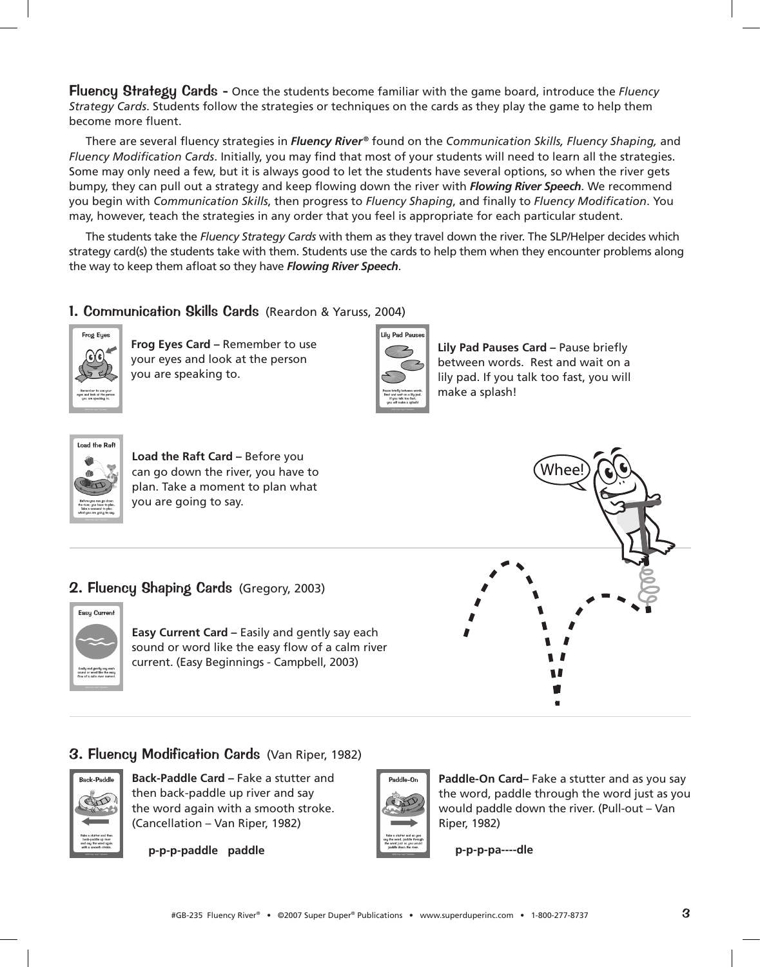Fluencu Strategu Cards - Once the students become familiar with the game board, introduce the Fluency *Strategy Cards*. Students follow the strategies or techniques on the cards as they play the game to help them become more fluent.

There are several fluency strategies in *Fluency River®* found on the Communication Skills, Fluency Shaping, and Fluency Modification Cards. Initially, you may find that most of your students will need to learn all the strategies. Some may only need a few, but it is always good to let the students have several options, so when the river gets bumpy, they can pull out a strategy and keep flowing down the river with *Flowing River Speech*. We recommend you begin with Communication Skills, then progress to Fluency Shaping, and finally to Fluency Modification. You may, however, teach the strategies in any order that you feel is appropriate for each particular student.

The students take the *Fluency Strategy Cards* with them as they travel down the river. The SLP/Helper decides which strategy card(s) the students take with them. Students use the cards to help them when they encounter problems along the way to keep them afloat so they have *Flowing River Speech*.

#### 1. Communication Skills Cards (Reardon & Yaruss, 2004)



**Frog Eyes Card –** Remember to use your eyes and look at the person you are speaking to.



**Lily Pad Pauses Card – Pause briefly** between words. Rest and wait on a lily pad. If you talk too fast, you will make a splash!



**Load the Raft Card – Before you** can go down the river, you have to plan. Take a moment to plan what you are going to say.





**Easy Current Card –** Easily and gently say each sound or word like the easy flow of a calm river current. (Easy Beginnings - Campbell, 2003)



#### 3. Fluency Modification Cards (Van Riper, 1982)



**Back-Paddle Card – Fake a stutter and** then back-paddle up river and say the word again with a smooth stroke. (Cancellation – Van Riper, 1982)

**p-p-p-paddle paddle**



Paddle-On Card- Fake a stutter and as you say the word, paddle through the word just as you would paddle down the river. (Pull-out – Van Riper, 1982)

**p-p-p-pa----dle**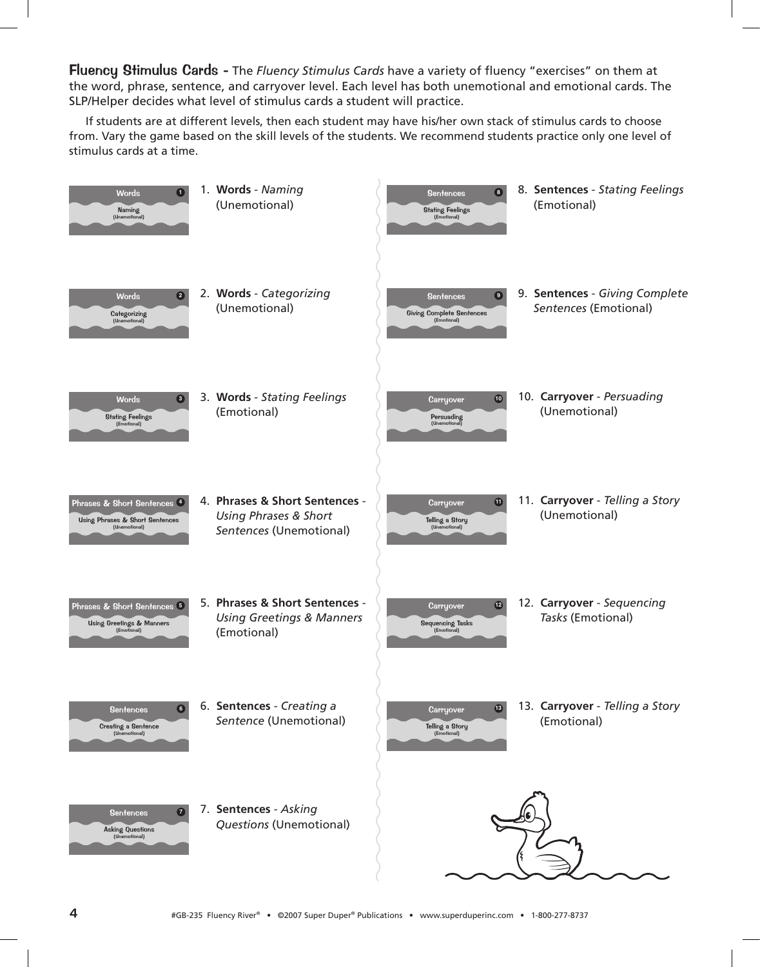Fluency Stimulus Cards - The Fluency Stimulus Cards have a variety of fluency "exercises" on them at the word, phrase, sentence, and carryover level. Each level has both unemotional and emotional cards. The SLP/Helper decides what level of stimulus cards a student will practice.

If students are at different levels, then each student may have his/her own stack of stimulus cards to choose from. Vary the game based on the skill levels of the students. We recommend students practice only one level of stimulus cards at a time.